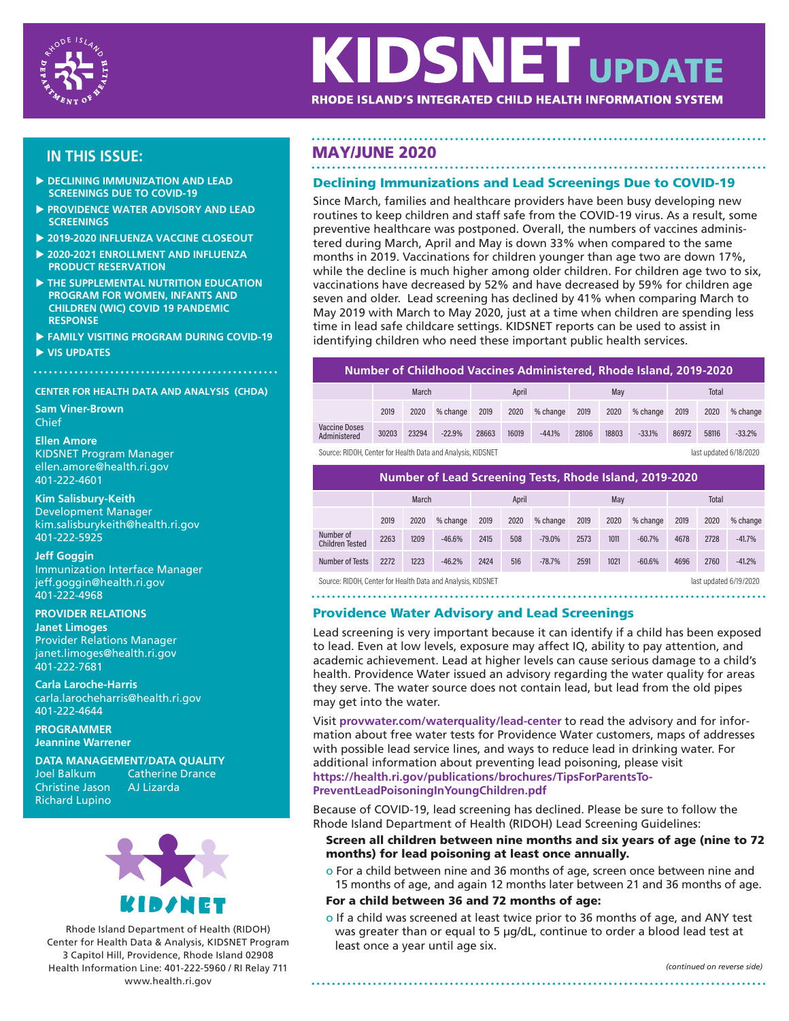

# **KIDSNET UPDATE** RHODE ISLAND'S INTEGRATED CHILD HEALTH INFORMATION SYSTEM

- **DECLINING IMMUNIZATION AND LEAD SCREENINGS DUE TO COVID-19**
- **PROVIDENCE WATER ADVISORY AND LEAD SCREENINGS**
- **2019-2020 INFLUENZA VACCINE CLOSEOUT**
- **2020-2021 ENROLLMENT AND INFLUENZA PRODUCT RESERVATION**
- **THE SUPPLEMENTAL NUTRITION EDUCATION PROGRAM FOR WOMEN, INFANTS AND CHILDREN (WIC) COVID 19 PANDEMIC RESPONSE**
- **FAMILY VISITING PROGRAM DURING COVID-19**
- **VIS UPDATES**

# **CENTER FOR HEALTH DATA AND ANALYSIS (CHDA)**

**Sam Viner-Brown** Chief

#### **Ellen Amore**

KIDSNET Program Manager ellen.amore@health.ri.gov 401-222-4601

**Kim Salisbury-Keith** Development Manager kim.salisburykeith@health.ri.gov 401-222-5925

#### **Jeff Goggin** Immunization Interface Manager jeff.goggin@health.ri.gov

401-222-4968 **PROVIDER RELATIONS**

**Janet Limoges** Provider Relations Manager janet.limoges@health.ri.gov 401-222-7681

**Carla Laroche-Harris** carla.larocheharris@health.ri.gov 401-222-4644

**PROGRAMMER Jeannine Warrener**

**DATA MANAGEMENT/DATA QUALITY**

Christine Jason Richard Lupino Catherine Drance<br>AJ Lizarda



Rhode Island Department of Health (RIDOH) Center for Health Data & Analysis, KIDSNET Program 3 Capitol Hill, Providence, Rhode Island 02908 Health Information Line: 401-222-5960 / RI Relay 711 www.health.ri.gov

# **IN THIS ISSUE:** MAY/JUNE 2020

# Declining Immunizations and Lead Screenings Due to COVID-19

Since March, families and healthcare providers have been busy developing new routines to keep children and staff safe from the COVID-19 virus. As a result, some preventive healthcare was postponed. Overall, the numbers of vaccines administered during March, April and May is down 33% when compared to the same months in 2019. Vaccinations for children younger than age two are down 17%, while the decline is much higher among older children. For children age two to six, vaccinations have decreased by 52% and have decreased by 59% for children age seven and older. Lead screening has declined by 41% when comparing March to May 2019 with March to May 2020, just at a time when children are spending less time in lead safe childcare settings. KIDSNET reports can be used to assist in identifying children who need these important public health services.

**Number of Childhood Vaccines Administered, Rhode Island, 2019-2020**

|                                                                                       | March |       |          | April |       |          | May   |       |          | <b>Total</b> |       |          |
|---------------------------------------------------------------------------------------|-------|-------|----------|-------|-------|----------|-------|-------|----------|--------------|-------|----------|
|                                                                                       | 2019  | 2020  | % change | 2019  | 2020  | % change | 2019  | 2020  | % change | 2019         | 2020  | % change |
| <b>Vaccine Doses</b><br>Administered                                                  | 30203 | 23294 | $-22.9%$ | 28663 | 16019 | $-44.1%$ | 28106 | 18803 | $-33.1%$ | 86972        | 58116 | $-33.2%$ |
| Source: RIDOH, Center for Health Data and Analysis, KIDSNET<br>last updated 6/18/2020 |       |       |          |       |       |          |       |       |          |              |       |          |

| Number of Lead Screening Tests, Rhode Island, 2019-2020 |       |      |          |       |      |          |      |      |          |              |      |          |
|---------------------------------------------------------|-------|------|----------|-------|------|----------|------|------|----------|--------------|------|----------|
|                                                         | March |      |          | April |      |          | May  |      |          | <b>Total</b> |      |          |
|                                                         | 2019  | 2020 | % change | 2019  | 2020 | % change | 2019 | 2020 | % change | 2019         | 2020 | % change |
| Number of<br><b>Children Tested</b>                     | 2263  | 1209 | $-46.6%$ | 2415  | 508  | $-79.0%$ | 2573 | 1011 | $-60.7%$ | 4678         | 2728 | $-41.7%$ |
| Number of Tests                                         | 2272  | 1223 | $-46.2%$ | 2424  | 516  | $-78.7%$ | 2591 | 1021 | $-60.6%$ | 4696         | 2760 | $-41.2%$ |

Source: RIDOH, Center for Health Data and Analysis, KIDSNET

The contract of the contract of the contract of the contract of the contract of the contract of the contract of the contract of the contract of the contract of the contract of the contract of the contract of the contract o ated 6/19/2020

# 

# Providence Water Advisory and Lead Screenings

Lead screening is very important because it can identify if a child has been exposed to lead. Even at low levels, exposure may affect IQ, ability to pay attention, and academic achievement. Lead at higher levels can cause serious damage to a child's health. Providence Water issued an advisory regarding the water quality for areas they serve. The water source does not contain lead, but lead from the old pipes may get into the water.

Visit **provwater.com/waterquality/lead-center** to read the advisory and for information about free water tests for Providence Water customers, maps of addresses with possible lead service lines, and ways to reduce lead in drinking water. For additional information about preventing lead poisoning, please visit **https://health.ri.gov/publications/brochures/TipsForParentsTo-PreventLeadPoisoningInYoungChildren.pdf**

Because of COVID-19, lead screening has declined. Please be sure to follow the Rhode Island Department of Health (RIDOH) Lead Screening Guidelines:

# Screen all children between nine months and six years of age (nine to 72 months) for lead poisoning at least once annually.

- o For a child between nine and 36 months of age, screen once between nine and 15 months of age, and again 12 months later between 21 and 36 months of age.
- For a child between 36 and 72 months of age:
- o If a child was screened at least twice prior to 36 months of age, and ANY test was greater than or equal to 5 μg/dL, continue to order a blood lead test at least once a year until age six.